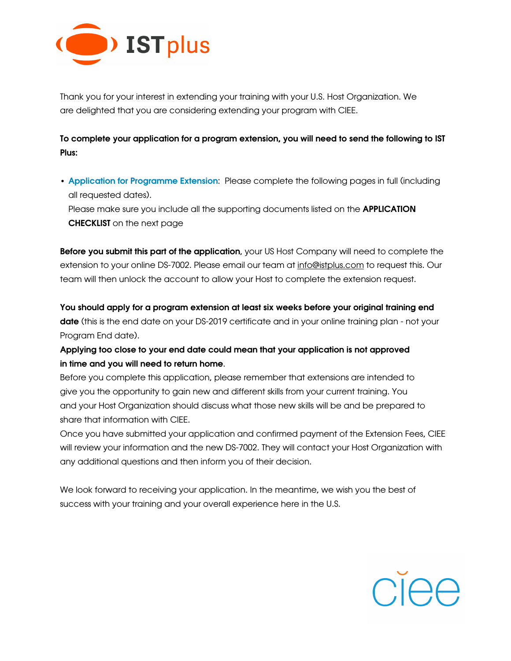

Thank you for your interest in extending your training with your U.S. Host Organization. We are delighted that you are considering extending your program with CIEE.

To complete your application for a program extension, you will need to send the following to IST Plus:

• Application for Programme Extension: Please complete the following pages in full (including all requested dates).

Please make sure you include all the supporting documents listed on the **APPLICATION** CHECKLIST on the next page

**Before you submit this part of the application**, your US Host Company will need to complete the extension to your online DS-7002. Please email our team at [info@istplus.com](mailto:info@istplus.com) to request this. Our team will then unlock the account to allow your Host to complete the extension request.

You should apply for a program extension at least six weeks before your original training end date (this is the end date on your DS-2019 certificate and in your online training plan - not your Program End date).

Applying too close to your end date could mean that your application is not approved in time and you will need to return home.

Before you complete this application, please remember that extensions are intended to give you the opportunity to gain new and different skills from your current training. You and your Host Organization should discuss what those new skills will be and be prepared to share that information with CIEE.

Once you have submitted your application and confirmed payment of the Extension Fees, CIEE will review your information and the new DS-7002. They will contact your Host Organization with any additional questions and then inform you of their decision.

We look forward to receiving your application. In the meantime, we wish you the best of success with your training and your overall experience here in the U.S.

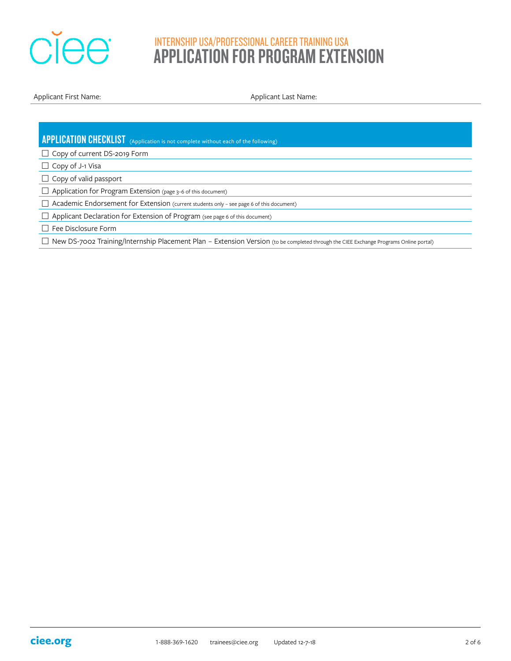

Applicant First Name: Applicant Last Name: Applicant Last Name:

| <b>APPLICATION CHECKLIST</b> (Application is not complete without each of the following)                                                         |
|--------------------------------------------------------------------------------------------------------------------------------------------------|
| $\Box$ Copy of current DS-2019 Form                                                                                                              |
| $\Box$ Copy of J-1 Visa                                                                                                                          |
| $\Box$ Copy of valid passport                                                                                                                    |
| $\Box$ Application for Program Extension (page 3-6 of this document)                                                                             |
| $\Box$ Academic Endorsement for Extension (current students only - see page 6 of this document)                                                  |
| Applicant Declaration for Extension of Program (see page 6 of this document)                                                                     |
| Fee Disclosure Form                                                                                                                              |
| New DS-7002 Training/Internship Placement Plan - Extension Version (to be completed through the CIEE Exchange Programs Online portal)<br>$\perp$ |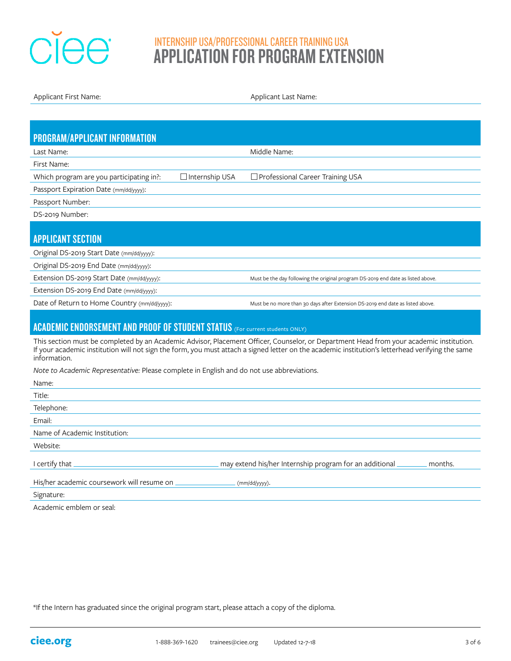

Applicant First Name: Applicant Last Name:

| <b>PROGRAM/APPLICANT INFORMATION</b>                                                                                                                                                                                                                                                                        |                                                                                  |  |  |  |  |  |  |
|-------------------------------------------------------------------------------------------------------------------------------------------------------------------------------------------------------------------------------------------------------------------------------------------------------------|----------------------------------------------------------------------------------|--|--|--|--|--|--|
| Last Name:                                                                                                                                                                                                                                                                                                  | Middle Name:                                                                     |  |  |  |  |  |  |
| First Name:                                                                                                                                                                                                                                                                                                 |                                                                                  |  |  |  |  |  |  |
| □ Internship USA<br>Which program are you participating in?:                                                                                                                                                                                                                                                | □ Professional Career Training USA                                               |  |  |  |  |  |  |
| Passport Expiration Date (mm/dd/yyyy):                                                                                                                                                                                                                                                                      |                                                                                  |  |  |  |  |  |  |
| Passport Number:                                                                                                                                                                                                                                                                                            |                                                                                  |  |  |  |  |  |  |
| DS-2019 Number:                                                                                                                                                                                                                                                                                             |                                                                                  |  |  |  |  |  |  |
|                                                                                                                                                                                                                                                                                                             |                                                                                  |  |  |  |  |  |  |
| <b>APPLICANT SECTION</b>                                                                                                                                                                                                                                                                                    |                                                                                  |  |  |  |  |  |  |
| Original DS-2019 Start Date (mm/dd/yyyy):                                                                                                                                                                                                                                                                   |                                                                                  |  |  |  |  |  |  |
| Original DS-2019 End Date (mm/dd/yyyy):                                                                                                                                                                                                                                                                     |                                                                                  |  |  |  |  |  |  |
| Extension DS-2019 Start Date (mm/dd/yyyy):                                                                                                                                                                                                                                                                  | Must be the day following the original program DS-2019 end date as listed above. |  |  |  |  |  |  |
| Extension DS-2019 End Date (mm/dd/yyyy):                                                                                                                                                                                                                                                                    |                                                                                  |  |  |  |  |  |  |
| Date of Return to Home Country (mm/dd/yyyy):                                                                                                                                                                                                                                                                | Must be no more than 30 days after Extension DS-2019 end date as listed above.   |  |  |  |  |  |  |
|                                                                                                                                                                                                                                                                                                             |                                                                                  |  |  |  |  |  |  |
| <b>ACADEMIC ENDORSEMENT AND PROOF OF STUDENT STATUS</b> (For current students ONLY)                                                                                                                                                                                                                         |                                                                                  |  |  |  |  |  |  |
| This section must be completed by an Academic Advisor, Placement Officer, Counselor, or Department Head from your academic institution.<br>If your academic institution will not sign the form, you must attach a signed letter on the academic institution's letterhead verifying the same<br>information. |                                                                                  |  |  |  |  |  |  |
| Note to Academic Representative: Please complete in English and do not use abbreviations.                                                                                                                                                                                                                   |                                                                                  |  |  |  |  |  |  |
| Name:                                                                                                                                                                                                                                                                                                       |                                                                                  |  |  |  |  |  |  |
| Title:                                                                                                                                                                                                                                                                                                      |                                                                                  |  |  |  |  |  |  |
| Telephone:                                                                                                                                                                                                                                                                                                  |                                                                                  |  |  |  |  |  |  |
| Email:                                                                                                                                                                                                                                                                                                      |                                                                                  |  |  |  |  |  |  |
| Name of Academic Institution:                                                                                                                                                                                                                                                                               |                                                                                  |  |  |  |  |  |  |
| Website:                                                                                                                                                                                                                                                                                                    |                                                                                  |  |  |  |  |  |  |
| I certify that                                                                                                                                                                                                                                                                                              | may extend his/her Internship program for an additional<br>months.               |  |  |  |  |  |  |
| His/her academic coursework will resume on                                                                                                                                                                                                                                                                  | (mm/dd/yyyy).                                                                    |  |  |  |  |  |  |

Signature:

Academic emblem or seal:

\*If the Intern has graduated since the original program start, please attach a copy of the diploma.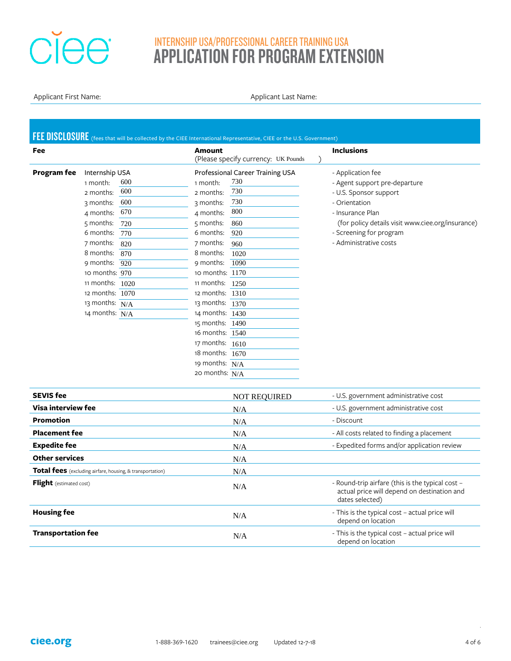# **Ciee**

## INTERNSHIP USA/PROFESSIONAL CAREER TRAINING USA APPLICATION FOR PROGRAM EXTENSION

Applicant First Name: Applicant Last Name: Applicant Last Name:

|                                | FEE DISCLOSURE (fees that will be collected by the CIEE International Representative, CIEE or the U.S. Government) |                   |                                     |                                                                                                                    |
|--------------------------------|--------------------------------------------------------------------------------------------------------------------|-------------------|-------------------------------------|--------------------------------------------------------------------------------------------------------------------|
| Fee                            |                                                                                                                    | <b>Amount</b>     | (Please specify currency: UK Pounds | <b>Inclusions</b>                                                                                                  |
| <b>Program</b> fee             | Internship USA                                                                                                     |                   | Professional Career Training USA    | - Application fee                                                                                                  |
|                                | 600<br>1 month:                                                                                                    | 1 month:          | 730                                 | - Agent support pre-departure                                                                                      |
|                                | 600<br>2 months:                                                                                                   | 2 months:         | 730                                 | - U.S. Sponsor support                                                                                             |
|                                | 600<br>3 months:                                                                                                   | 3 months:         | 730                                 | - Orientation                                                                                                      |
|                                | 670<br>4 months:                                                                                                   | 4 months:         | 800                                 | - Insurance Plan                                                                                                   |
|                                | 5 months:<br>720                                                                                                   | 5 months:         | 860                                 | (for policy details visit www.ciee.org/insurance)                                                                  |
|                                | 6 months:<br>770                                                                                                   | 6 months:         | 920                                 | - Screening for program                                                                                            |
|                                | 7 months:<br>820                                                                                                   | 7 months:         | 960                                 | - Administrative costs                                                                                             |
|                                | 8 months:<br>870                                                                                                   | 8 months:         | 1020                                |                                                                                                                    |
|                                | 9 months:<br>920                                                                                                   | 9 months:         | 1090                                |                                                                                                                    |
|                                | 10 months: $970$                                                                                                   | 10 months: 1170   |                                     |                                                                                                                    |
|                                | 11 months: 1020                                                                                                    | 11 months:        | 1250                                |                                                                                                                    |
|                                | 12 months: 1070                                                                                                    | 12 months: 1310   |                                     |                                                                                                                    |
|                                | 13 months:<br>N/A                                                                                                  | 13 months: 1370   |                                     |                                                                                                                    |
|                                | 14 months: $N/A$                                                                                                   | 14 months: $1430$ |                                     |                                                                                                                    |
|                                |                                                                                                                    | 15 months: 1490   |                                     |                                                                                                                    |
|                                |                                                                                                                    | 16 months: 1540   |                                     |                                                                                                                    |
|                                |                                                                                                                    | 17 months: 1610   |                                     |                                                                                                                    |
|                                |                                                                                                                    | 18 months: 1670   |                                     |                                                                                                                    |
|                                |                                                                                                                    | 19 months: $N/A$  |                                     |                                                                                                                    |
|                                |                                                                                                                    | 20 months: $N/A$  |                                     |                                                                                                                    |
| <b>SEVIS fee</b>               |                                                                                                                    |                   | <b>NOT REQUIRED</b>                 | - U.S. government administrative cost                                                                              |
| Visa interview fee             |                                                                                                                    |                   | N/A                                 | - U.S. government administrative cost                                                                              |
| <b>Promotion</b>               |                                                                                                                    |                   | N/A                                 | - Discount                                                                                                         |
| <b>Placement fee</b>           |                                                                                                                    |                   | N/A                                 | - All costs related to finding a placement                                                                         |
| <b>Expedite fee</b>            |                                                                                                                    |                   | N/A                                 | - Expedited forms and/or application review                                                                        |
| <b>Other services</b>          |                                                                                                                    |                   | N/A                                 |                                                                                                                    |
|                                | <b>Total fees</b> (excluding airfare, housing, & transportation)                                                   |                   | N/A                                 |                                                                                                                    |
| <b>Flight</b> (estimated cost) |                                                                                                                    |                   | N/A                                 | - Round-trip airfare (this is the typical cost -<br>actual price will depend on destination and<br>dates selected) |
| <b>Housing fee</b>             |                                                                                                                    |                   | N/A                                 | - This is the typical cost - actual price will<br>depend on location                                               |
| <b>Transportation fee</b>      |                                                                                                                    |                   | N/A                                 | - This is the typical cost - actual price will                                                                     |

depend on location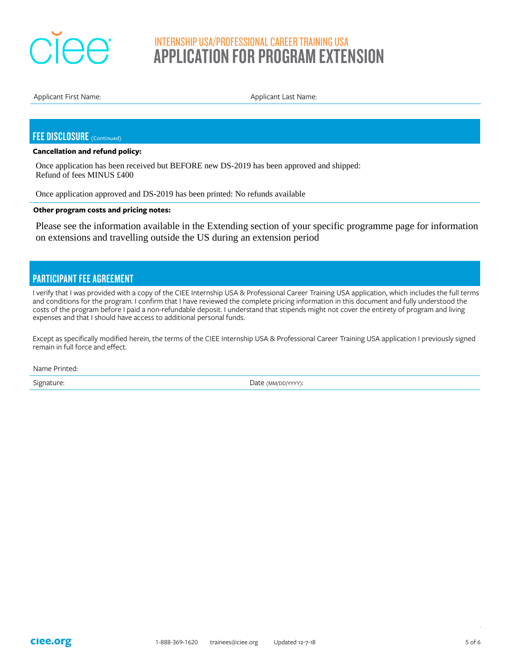

Applicant First Name: Applicant Last Name:

### FEE DISCLOSURE (Continued)

#### **Cancellation and refund policy:**

Once application has been received but BEFORE new DS-2019 has been approved and shipped: Refund of fees MINUS £400

Once application approved and DS-2019 has been printed: No refunds available

#### **Other program costs and pricing notes:**

Please see the information available in the Extending section of your specific programme page for information on extensions and travelling outside the US during an extension period

## PARTICIPANT FEE AGREEMENT

I verify that I was provided with a copy of the CIEE Internship USA & Professional Career Training USA application, which includes the full terms and conditions for the program. I confirm that I have reviewed the complete pricing information in this document and fully understood the costs of the program before I paid a non-refundable deposit. I understand that stipends might not cover the entirety of program and living expenses and that I should have access to additional personal funds.

Except as specifically modified herein, the terms of the CIEE Internship USA & Professional Career Training USA application I previously signed remain in full force and effect.

Name Printed:

Signature: Signature: Date (MM/DD/YYYY):